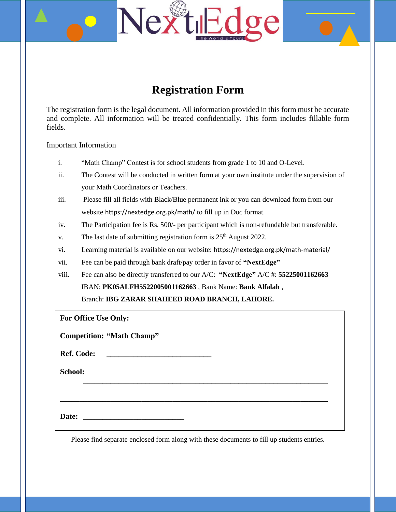## **Extractive Nex**  $\sigma e$

# **Registration Form**

The registration form is the legal document. All information provided in this form must be accurate and complete. All information will be treated confidentially. This form includes fillable form fields.

Important Information

- i. "Math Champ" Contest is for school students from grade 1 to 10 and O-Level.
- ii. The Contest will be conducted in written form at your own institute under the supervision of your Math Coordinators or Teachers.
- iii. Please fill all fields with Black/Blue permanent ink or you can download form from our website https://nextedge.org.pk/math/ to fill up in Doc format.
- iv. The Participation fee is Rs. 500/- per participant which is non-refundable but transferable.
- v. The last date of submitting registration form is  $25<sup>th</sup>$  August 2022.
- vi. Learning material is available on our website: https://nextedge.org.pk/math-material/
- vii. Fee can be paid through bank draft/pay order in favor of **"NextEdge"**
- viii. Fee can also be directly transferred to our A/C: **"NextEdge"** A/C #: **55225001162663**

IBAN: **PK05ALFH5522005001162663** , Bank Name: **Bank Alfalah** ,

Branch: **IBG ZARAR SHAHEED ROAD BRANCH, LAHORE.** 

**For Office Use Only:**

**Competition: "Math Champ"**

| <b>Ref. Code:</b> |  |
|-------------------|--|
|-------------------|--|

**School:**

**Date:** *Date:**<b>Date: <i>Parte: Parte: Parte: Parte: Parte:* 

Please find separate enclosed form along with these documents to fill up students entries.

**\_\_\_\_\_\_\_\_\_\_\_\_\_\_\_\_\_\_\_\_\_\_\_\_\_\_\_\_\_\_\_\_\_\_\_\_\_\_\_\_\_\_\_\_\_\_\_\_\_\_\_\_\_\_\_\_\_\_\_\_\_\_\_**